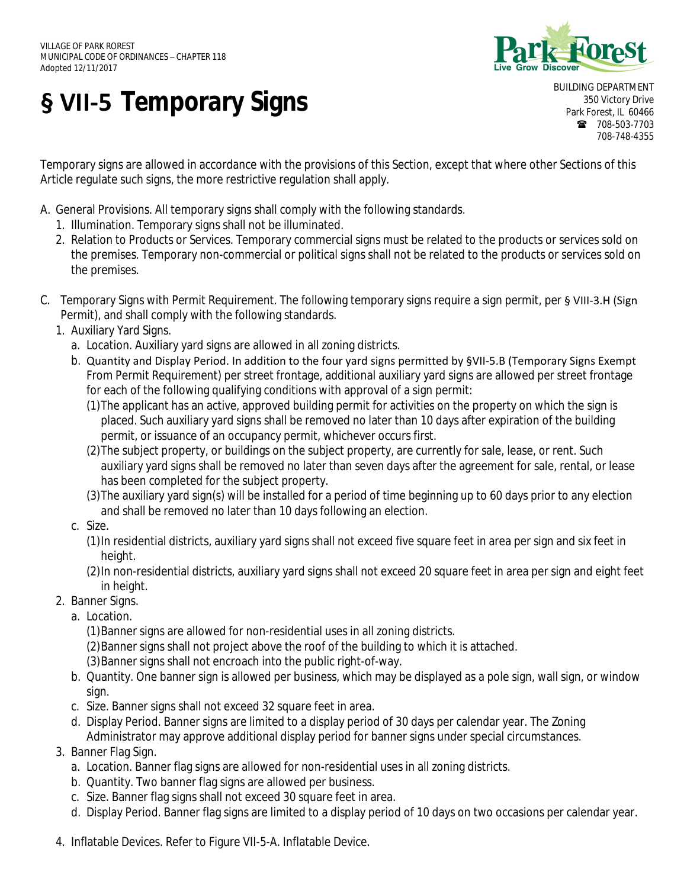

## **§ VII-5 Temporary Signs**

BUILDING DEPARTMENT 350 Victory Drive Park Forest, IL 60466 ■ 708-503-7703 708-748-4355

Temporary signs are allowed in accordance with the provisions of this Section, except that where other Sections of this **§ VII-5** Article regulate such signs, the more restrictive regulation shall apply.

- A. General Provisions. All temporary signs shall comply with the following standards.
	- 1. Illumination. Temporary signs shall not be illuminated.
	- 1. Illumination. Temporary signs shall not be illuminated.<br>2. Relation to Products or Services. Temporary commercial signs must be related to the products or services sold on the premises. Temporary non-commercial or political signs shall not be related to the products or services sold on the premises.
- C. Temporary Signs with Permit Requirement. The following temporary signs require a sign permit, per § VIII-3.H (Sign Permit), and shall comply with the following standards.
	- 1. Auxiliary Yard Signs.
		- a. Location. Auxiliary yard signs are allowed in all zoning districts.
		- b. Quantity and Display Period. In addition to the four yard signs permitted by §VII-5.B (Temporary Signs Exempt From Permit Requirement) per street frontage, additional auxiliary yard signs are allowed per street frontage for each of the following qualifying conditions with approval of a sign permit:
			- (1)The applicant has an active, approved building permit for activities on the property on which the sign is placed. Such auxiliary yard signs shall be removed no later than 10 days after expiration of the building permit, or issuance of an occupancy permit, whichever occurs first.
			- (2)The subject property, or buildings on the subject property, are currently for sale, lease, or rent. Such auxiliary yard signs shall be removed no later than seven days after the agreement for sale, rental, or lease has been completed for the subject property.
			- (3)The auxiliary yard sign(s) will be installed for a period of time beginning up to 60 days prior to any election and shall be removed no later than 10 days following an election.
		- c. Size.
			- (1)In residential districts, auxiliary yard signs shall not exceed five square feet in area per sign and six feet in height.
			- (2)In non-residential districts, auxiliary yard signs shall not exceed 20 square feet in area per sign and eight feet in height.
	- 2. Banner Signs.
		- a. Location.

(1)Banner signs are allowed for non-residential uses in all zoning districts.

- (2)Banner signs shall not project above the roof of the building to which it is attached.
- (3)Banner signs shall not encroach into the public right-of-way.
- b. Quantity. One banner sign is allowed per business, which may be displayed as a pole sign, wall sign, or window sign.
- c. Size. Banner signs shall not exceed 32 square feet in area.
- d. Display Period. Banner signs are limited to a display period of 30 days per calendar year. The Zoning Administrator may approve additional display period for banner signs under special circumstances.
- 3. Banner Flag Sign.
	- a. Location. Banner flag signs are allowed for non-residential uses in all zoning districts.
	- b. Quantity. Two banner flag signs are allowed per business.
	- c. Size. Banner flag signs shall not exceed 30 square feet in area.
	- d. Display Period. Banner flag signs are limited to a display period of 10 days on two occasions per calendar year.
- 4. Inflatable Devices. Refer to Figure VII-5-A. Inflatable Device.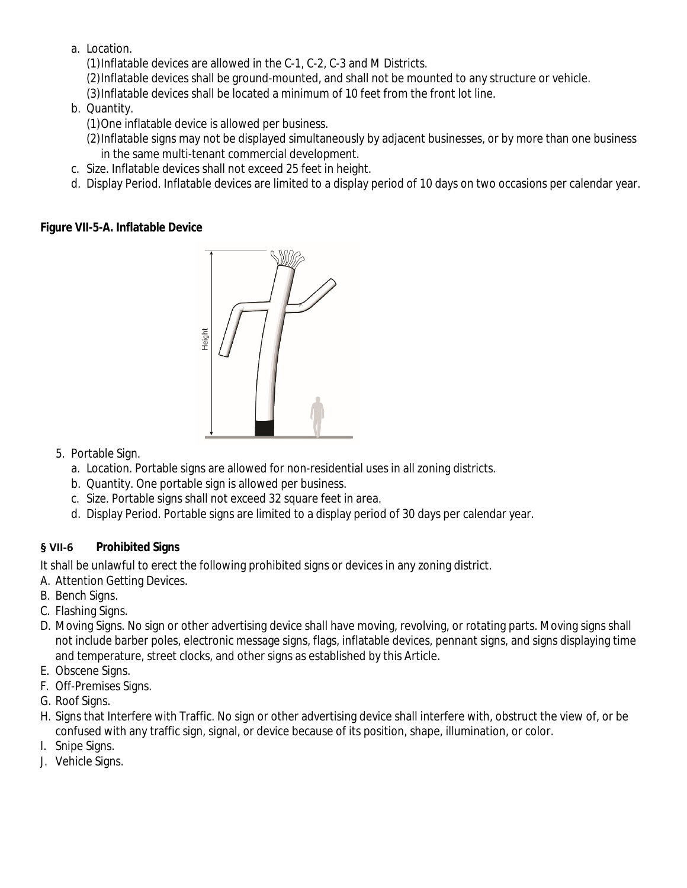a. Location.

(1)Inflatable devices are allowed in the C-1, C-2, C-3 and M Districts.

(2)Inflatable devices shall be ground-mounted, and shall not be mounted to any structure or vehicle.

(3)Inflatable devices shall be located a minimum of 10 feet from the front lot line.

b. Quantity.

(1)One inflatable device is allowed per business.

(2)Inflatable signs may not be displayed simultaneously by adjacent businesses, or by more than one business in the same multi-tenant commercial development.

- c. Size. Inflatable devices shall not exceed 25 feet in height.
- d. Display Period. Inflatable devices are limited to a display period of 10 days on two occasions per calendar year.

## **Figure VII-5-A. Inflatable Device**



- 5. Portable Sign.
	- a. Location. Portable signs are allowed for non-residential uses in all zoning districts.
	- b. Quantity. One portable sign is allowed per business.
	- c. Size. Portable signs shall not exceed 32 square feet in area.
	- d. Display Period. Portable signs are limited to a display period of 30 days per calendar year.

## **§ VII-6 Prohibited Signs**

It shall be unlawful to erect the following prohibited signs or devices in any zoning district.

- A. Attention Getting Devices.
- B. Bench Signs.
- C. Flashing Signs.
- D. Moving Signs. No sign or other advertising device shall have moving, revolving, or rotating parts. Moving signs shall not include barber poles, electronic message signs, flags, inflatable devices, pennant signs, and signs displaying time and temperature, street clocks, and other signs as established by this Article.
- E. Obscene Signs.
- F. Off-Premises Signs.
- G. Roof Signs.
- H. Signs that Interfere with Traffic. No sign or other advertising device shall interfere with, obstruct the view of, or be confused with any traffic sign, signal, or device because of its position, shape, illumination, or color.
- I. Snipe Signs.
- J. Vehicle Signs.